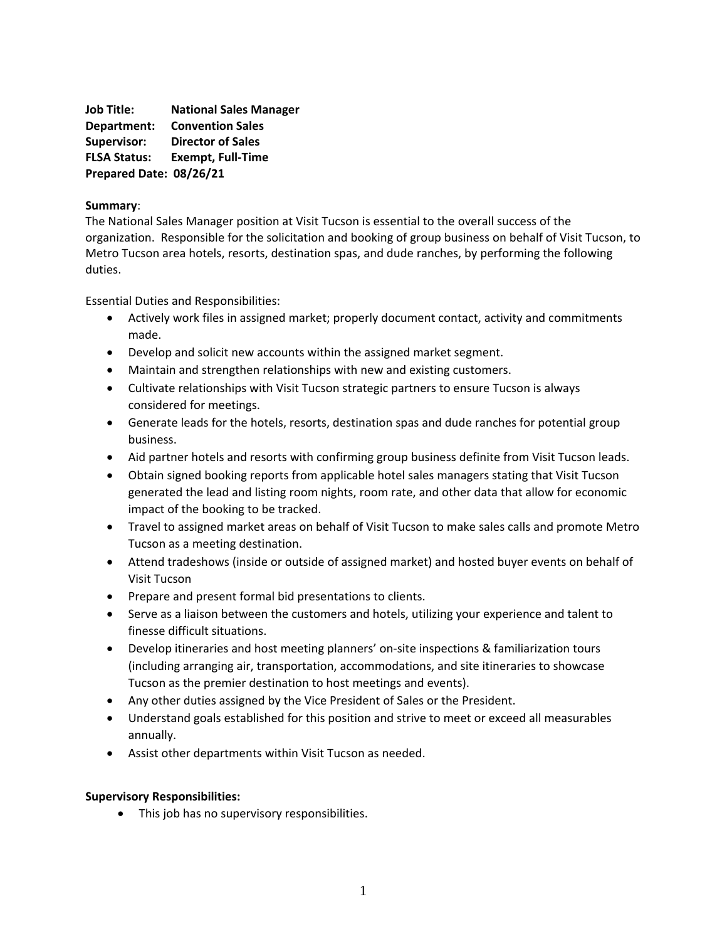**Job Title: National Sales Manager Department: Convention Sales Supervisor: Director of Sales FLSA Status: Exempt, Full-Time Prepared Date: 08/26/21**

## **Summary**:

The National Sales Manager position at Visit Tucson is essential to the overall success of the organization. Responsible for the solicitation and booking of group business on behalf of Visit Tucson, to Metro Tucson area hotels, resorts, destination spas, and dude ranches, by performing the following duties.

Essential Duties and Responsibilities:

- Actively work files in assigned market; properly document contact, activity and commitments made.
- Develop and solicit new accounts within the assigned market segment.
- Maintain and strengthen relationships with new and existing customers.
- Cultivate relationships with Visit Tucson strategic partners to ensure Tucson is always considered for meetings.
- Generate leads for the hotels, resorts, destination spas and dude ranches for potential group business.
- Aid partner hotels and resorts with confirming group business definite from Visit Tucson leads.
- Obtain signed booking reports from applicable hotel sales managers stating that Visit Tucson generated the lead and listing room nights, room rate, and other data that allow for economic impact of the booking to be tracked.
- Travel to assigned market areas on behalf of Visit Tucson to make sales calls and promote Metro Tucson as a meeting destination.
- Attend tradeshows (inside or outside of assigned market) and hosted buyer events on behalf of Visit Tucson
- Prepare and present formal bid presentations to clients.
- Serve as a liaison between the customers and hotels, utilizing your experience and talent to finesse difficult situations.
- Develop itineraries and host meeting planners' on-site inspections & familiarization tours (including arranging air, transportation, accommodations, and site itineraries to showcase Tucson as the premier destination to host meetings and events).
- Any other duties assigned by the Vice President of Sales or the President.
- Understand goals established for this position and strive to meet or exceed all measurables annually.
- Assist other departments within Visit Tucson as needed.

## **Supervisory Responsibilities:**

• This job has no supervisory responsibilities.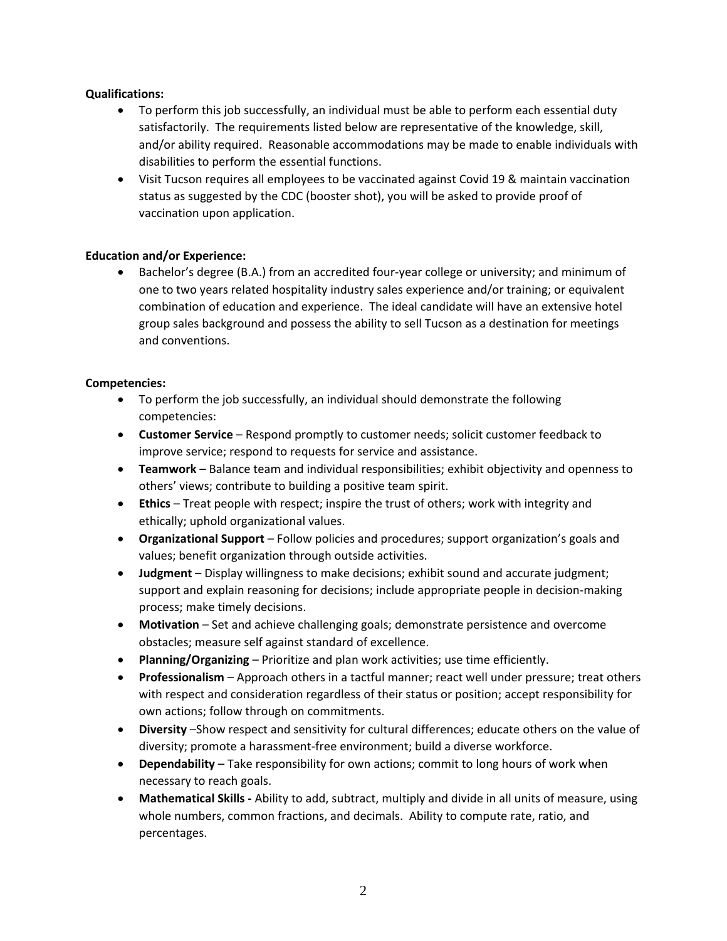## **Qualifications:**

- To perform this job successfully, an individual must be able to perform each essential duty satisfactorily. The requirements listed below are representative of the knowledge, skill, and/or ability required. Reasonable accommodations may be made to enable individuals with disabilities to perform the essential functions.
- Visit Tucson requires all employees to be vaccinated against Covid 19 & maintain vaccination status as suggested by the CDC (booster shot), you will be asked to provide proof of vaccination upon application.

## **Education and/or Experience:**

• Bachelor's degree (B.A.) from an accredited four-year college or university; and minimum of one to two years related hospitality industry sales experience and/or training; or equivalent combination of education and experience. The ideal candidate will have an extensive hotel group sales background and possess the ability to sell Tucson as a destination for meetings and conventions.

## **Competencies:**

- To perform the job successfully, an individual should demonstrate the following competencies:
- **Customer Service**  Respond promptly to customer needs; solicit customer feedback to improve service; respond to requests for service and assistance.
- **Teamwork**  Balance team and individual responsibilities; exhibit objectivity and openness to others' views; contribute to building a positive team spirit.
- **Ethics** Treat people with respect; inspire the trust of others; work with integrity and ethically; uphold organizational values.
- **Organizational Support** Follow policies and procedures; support organization's goals and values; benefit organization through outside activities.
- **Judgment** Display willingness to make decisions; exhibit sound and accurate judgment; support and explain reasoning for decisions; include appropriate people in decision-making process; make timely decisions.
- **Motivation**  Set and achieve challenging goals; demonstrate persistence and overcome obstacles; measure self against standard of excellence.
- **Planning/Organizing** Prioritize and plan work activities; use time efficiently.
- **Professionalism** Approach others in a tactful manner; react well under pressure; treat others with respect and consideration regardless of their status or position; accept responsibility for own actions; follow through on commitments.
- **Diversity** –Show respect and sensitivity for cultural differences; educate others on the value of diversity; promote a harassment-free environment; build a diverse workforce.
- **Dependability** Take responsibility for own actions; commit to long hours of work when necessary to reach goals.
- **Mathematical Skills -** Ability to add, subtract, multiply and divide in all units of measure, using whole numbers, common fractions, and decimals. Ability to compute rate, ratio, and percentages.